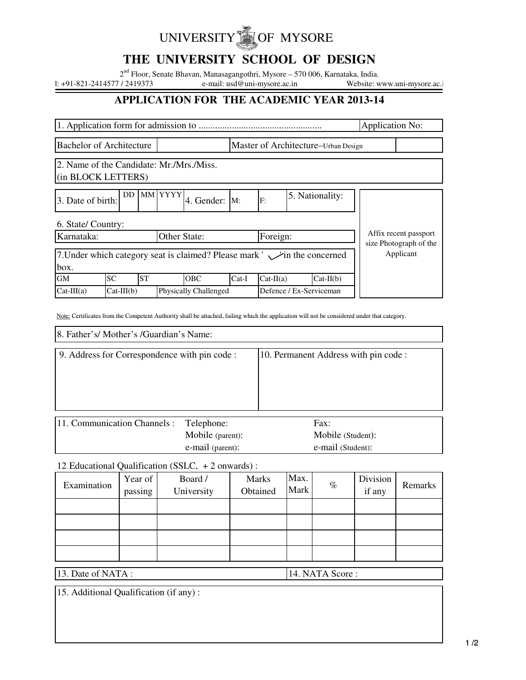# UNIVERSITY **OF MYSORE**

## **THE UNIVERSITY SCHOOL OF DESIGN**

2<sup>nd</sup> Floor, Senate Bhavan, Manasagangothri, Mysore – 570 006, Karnataka, India.

1: +91-821-2414577 / 2419373 e-mail: usd@uni-mysore.ac.in Website: www.uni-mysore.ac.in

## **APPLICATION FOR THE ACADEMIC YEAR 2013-14**

|                                                                                 |                                                          |           |  |            |                                     |             | <b>Application No:</b> |                                                 |           |  |
|---------------------------------------------------------------------------------|----------------------------------------------------------|-----------|--|------------|-------------------------------------|-------------|------------------------|-------------------------------------------------|-----------|--|
| <b>Bachelor of Architecture</b>                                                 |                                                          |           |  |            | Master of Architecture-Urban Design |             |                        |                                                 |           |  |
| 2. Name of the Candidate: Mr./Mrs./Miss.<br>(in BLOCK LETTERS)                  |                                                          |           |  |            |                                     |             |                        |                                                 |           |  |
| 3. Date of birth:                                                               | MM YYYY<br>DD.<br>5. Nationality:<br>4. Gender: M:<br>F: |           |  |            |                                     |             |                        |                                                 |           |  |
| 6. State/ Country:                                                              |                                                          |           |  |            |                                     |             |                        |                                                 |           |  |
| Karnataka:<br>Other State:                                                      |                                                          |           |  | Foreign:   |                                     |             |                        | Affix recent passport<br>size Photograph of the |           |  |
| 7. Under which category seat is claimed? Please mark ' in the concerned<br>box. |                                                          |           |  |            |                                     |             |                        |                                                 | Applicant |  |
| <b>GM</b>                                                                       | <b>SC</b>                                                | <b>ST</b> |  | <b>OBC</b> | $Cat-I$                             | $Cat-II(a)$ |                        | $Cat-II(b)$                                     |           |  |
| $Cat-III(a)$                                                                    | <b>Physically Challenged</b><br>$Cat-III(b)$             |           |  |            | Defence / Ex-Serviceman             |             |                        |                                                 |           |  |

Note: Certificates from the Competent Authority shall be attached, failing which the application will not be considered under that category.

8. Father's/ Mother's /Guardian's Name:

| 9. Address for Correspondence with pin code :                                                                                       | 10. Permanent Address with pin code : |
|-------------------------------------------------------------------------------------------------------------------------------------|---------------------------------------|
|                                                                                                                                     |                                       |
|                                                                                                                                     |                                       |
|                                                                                                                                     |                                       |
|                                                                                                                                     |                                       |
| 11 $\alpha$ . $\alpha$ is the $\alpha$ $\alpha$ $\beta$ is the $\alpha$ is the $\alpha$ in $\alpha$ is the $\alpha$ is the $\alpha$ | г.                                    |

| 11. Communication Channels : | Telephone:       | Fax:              |
|------------------------------|------------------|-------------------|
|                              | Mobile (parent): | Mobile (Student): |
|                              | e-mail (parent): | e-mail (Student): |

12. Educational Qualification (SSLC, + 2 onwards) :

| Examination | Year of<br>passing | Board /<br>University | Marks<br>Obtained | Max.<br>Mark | $\%$ | Division<br>if any | Remarks |
|-------------|--------------------|-----------------------|-------------------|--------------|------|--------------------|---------|
|             |                    |                       |                   |              |      |                    |         |
|             |                    |                       |                   |              |      |                    |         |
|             |                    |                       |                   |              |      |                    |         |
|             |                    |                       |                   |              |      |                    |         |

13. Date of NATA : 14. NATA Score :

15. Additional Qualification (if any) :